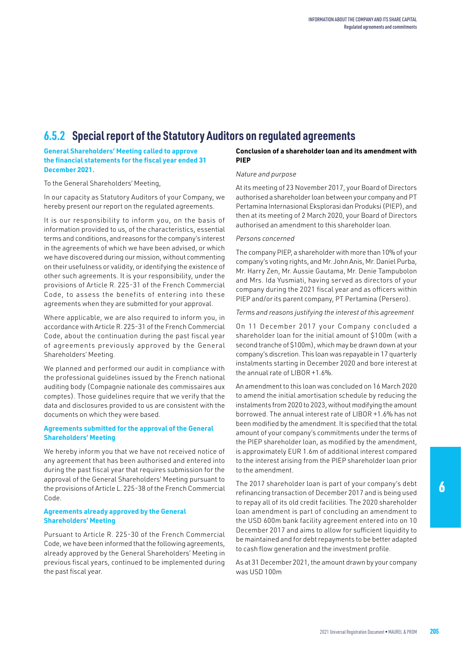# **6.5.2 Special report of the Statutory Auditors on regulated agreements**

**General Shareholders' Meeting called to approve the financial statements for the fiscal year ended 31 December 2021.**

To the General Shareholders' Meeting,

In our capacity as Statutory Auditors of your Company, we hereby present our report on the regulated agreements.

It is our responsibility to inform you, on the basis of information provided to us, of the characteristics, essential terms and conditions, and reasons for the company's interest in the agreements of which we have been advised, or which we have discovered during our mission, without commenting on their usefulness or validity, or identifying the existence of other such agreements. It is your responsibility, under the provisions of Article R. 225-31 of the French Commercial Code, to assess the benefits of entering into these agreements when they are submitted for your approval.

Where applicable, we are also required to inform you, in accordance with Article R. 225-31 of the French Commercial Code, about the continuation during the past fiscal year of agreements previously approved by the General Shareholders' Meeting.

We planned and performed our audit in compliance with the professional guidelines issued by the French national auditing body (Compagnie nationale des commissaires aux comptes). Those guidelines require that we verify that the data and disclosures provided to us are consistent with the documents on which they were based.

# **Agreements submitted for the approval of the General Shareholders' Meeting**

We hereby inform you that we have not received notice of any agreement that has been authorised and entered into during the past fiscal year that requires submission for the approval of the General Shareholders' Meeting pursuant to the provisions of Article L. 225-38 of the French Commercial Code.

# **Agreements already approved by the General Shareholders' Meeting**

Pursuant to Article R. 225-30 of the French Commercial Code, we have been informed that the following agreements, already approved by the General Shareholders' Meeting in previous fiscal years, continued to be implemented during the past fiscal year.

#### **Conclusion of a shareholder loan and its amendment with PIEP**

# *Nature and purpose*

At its meeting of 23 November 2017, your Board of Directors authorised a shareholder loan between your company and PT Pertamina Internasional Eksplorasi dan Produksi (PIEP), and then at its meeting of 2 March 2020, your Board of Directors authorised an amendment to this shareholder loan.

#### *Persons concerned*

The company PIEP, a shareholder with more than 10% of your company's voting rights, and Mr. John Anis, Mr. Daniel Purba, Mr. Harry Zen, Mr. Aussie Gautama, Mr. Denie Tampubolon and Mrs. Ida Yusmiati, having served as directors of your company during the 2021 fiscal year and as officers within PIEP and/or its parent company, PT Pertamina (Persero).

#### *Terms and reasons justifying the interest of this agreement*

On 11 December 2017 your Company concluded a shareholder loan for the initial amount of \$100m (with a second tranche of \$100m), which may be drawn down at your company's discretion. This loan was repayable in 17 quarterly instalments starting in December 2020 and bore interest at the annual rate of LIBOR +1.6%.

An amendment to this loan was concluded on 16 March 2020 to amend the initial amortisation schedule by reducing the instalments from 2020 to 2023, without modifying the amount borrowed. The annual interest rate of LIBOR +1.6% has not been modified by the amendment. It is specified that the total amount of your company's commitments under the terms of the PIEP shareholder loan, as modified by the amendment, is approximately EUR 1.6m of additional interest compared to the interest arising from the PIEP shareholder loan prior to the amendment.

The 2017 shareholder loan is part of your company's debt refinancing transaction of December 2017 and is being used to repay all of its old credit facilities. The 2020 shareholder loan amendment is part of concluding an amendment to the USD 600m bank facility agreement entered into on 10 December 2017 and aims to allow for sufficient liquidity to be maintained and for debt repayments to be better adapted to cash flow generation and the investment profile.

As at 31 December 2021, the amount drawn by your company was USD 100m